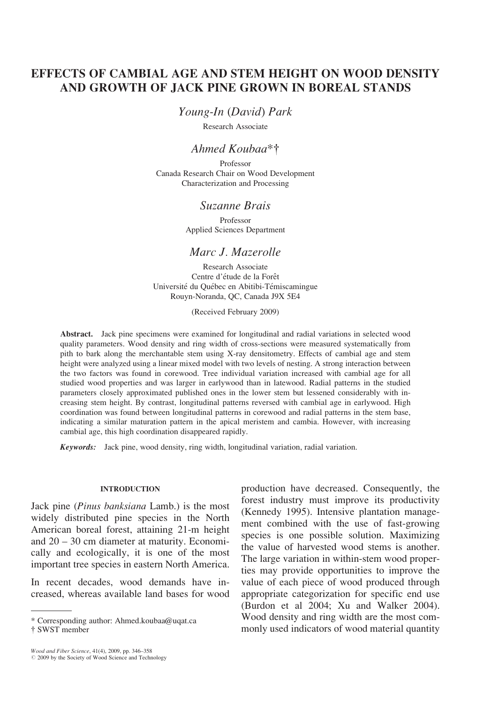# EFFECTS OF CAMBIAL AGE AND STEM HEIGHT ON WOOD DENSITY AND GROWTH OF JACK PINE GROWN IN BOREAL STANDS

Young-In (David) Park

Research Associate

## Ahmed Koubaa $*$ †

Professor Canada Research Chair on Wood Development Characterization and Processing

### Suzanne Brais

Professor Applied Sciences Department

## Marc J. Mazerolle

Research Associate Centre d'étude de la Forêt Université du Québec en Abitibi-Témiscamingue Rouyn-Noranda, QC, Canada J9X 5E4

(Received February 2009)

Abstract. Jack pine specimens were examined for longitudinal and radial variations in selected wood quality parameters. Wood density and ring width of cross-sections were measured systematically from pith to bark along the merchantable stem using X-ray densitometry. Effects of cambial age and stem height were analyzed using a linear mixed model with two levels of nesting. A strong interaction between the two factors was found in corewood. Tree individual variation increased with cambial age for all studied wood properties and was larger in earlywood than in latewood. Radial patterns in the studied parameters closely approximated published ones in the lower stem but lessened considerably with increasing stem height. By contrast, longitudinal patterns reversed with cambial age in earlywood. High coordination was found between longitudinal patterns in corewood and radial patterns in the stem base, indicating a similar maturation pattern in the apical meristem and cambia. However, with increasing cambial age, this high coordination disappeared rapidly.

Keywords: Jack pine, wood density, ring width, longitudinal variation, radial variation.

### INTRODUCTION

Jack pine (Pinus banksiana Lamb.) is the most widely distributed pine species in the North American boreal forest, attaining 21-m height and 20 – 30 cm diameter at maturity. Economically and ecologically, it is one of the most important tree species in eastern North America.

In recent decades, wood demands have increased, whereas available land bases for wood

production have decreased. Consequently, the forest industry must improve its productivity (Kennedy 1995). Intensive plantation management combined with the use of fast-growing species is one possible solution. Maximizing the value of harvested wood stems is another. The large variation in within-stem wood properties may provide opportunities to improve the value of each piece of wood produced through appropriate categorization for specific end use (Burdon et al 2004; Xu and Walker 2004). Wood density and ring width are the most com-\* Corresponding author: Ahmed.koubaa@uqat.ca Wood density and ring width are the most com-<br>† SWST member monly used indicators of wood material quantity

<sup>{</sup> SWST member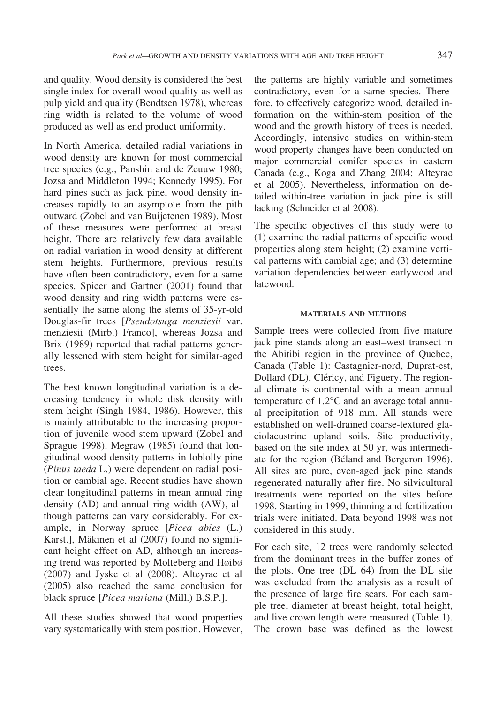and quality. Wood density is considered the best single index for overall wood quality as well as pulp yield and quality (Bendtsen 1978), whereas ring width is related to the volume of wood produced as well as end product uniformity.

In North America, detailed radial variations in wood density are known for most commercial tree species (e.g., Panshin and de Zeuuw 1980; Jozsa and Middleton 1994; Kennedy 1995). For hard pines such as jack pine, wood density increases rapidly to an asymptote from the pith outward (Zobel and van Buijetenen 1989). Most of these measures were performed at breast height. There are relatively few data available on radial variation in wood density at different stem heights. Furthermore, previous results have often been contradictory, even for a same species. Spicer and Gartner (2001) found that wood density and ring width patterns were essentially the same along the stems of 35-yr-old Douglas-fir trees [Pseudotsuga menziesii var. menziesii (Mirb.) Franco], whereas Jozsa and Brix (1989) reported that radial patterns generally lessened with stem height for similar-aged trees.

The best known longitudinal variation is a decreasing tendency in whole disk density with stem height (Singh 1984, 1986). However, this is mainly attributable to the increasing proportion of juvenile wood stem upward (Zobel and Sprague 1998). Megraw (1985) found that longitudinal wood density patterns in loblolly pine (Pinus taeda L.) were dependent on radial position or cambial age. Recent studies have shown clear longitudinal patterns in mean annual ring density (AD) and annual ring width (AW), although patterns can vary considerably. For example, in Norway spruce [Picea abies (L.) Karst.], Mäkinen et al (2007) found no significant height effect on AD, although an increasing trend was reported by Molteberg and  $H\phi$ ib $\phi$ (2007) and Jyske et al (2008). Alteyrac et al (2005) also reached the same conclusion for black spruce [*Picea mariana* (Mill.) B.S.P.].

All these studies showed that wood properties vary systematically with stem position. However,

the patterns are highly variable and sometimes contradictory, even for a same species. Therefore, to effectively categorize wood, detailed information on the within-stem position of the wood and the growth history of trees is needed. Accordingly, intensive studies on within-stem wood property changes have been conducted on major commercial conifer species in eastern Canada (e.g., Koga and Zhang 2004; Alteyrac et al 2005). Nevertheless, information on detailed within-tree variation in jack pine is still lacking (Schneider et al 2008).

The specific objectives of this study were to (1) examine the radial patterns of specific wood properties along stem height; (2) examine vertical patterns with cambial age; and (3) determine variation dependencies between earlywood and latewood.

### MATERIALS AND METHODS

Sample trees were collected from five mature jack pine stands along an east–west transect in the Abitibi region in the province of Quebec, Canada (Table 1): Castagnier-nord, Duprat-est, Dollard (DL), Cléricy, and Figuery. The regional climate is continental with a mean annual temperature of  $1.2^{\circ}$ C and an average total annual precipitation of 918 mm. All stands were established on well-drained coarse-textured glaciolacustrine upland soils. Site productivity, based on the site index at 50 yr, was intermediate for the region (Béland and Bergeron 1996). All sites are pure, even-aged jack pine stands regenerated naturally after fire. No silvicultural treatments were reported on the sites before 1998. Starting in 1999, thinning and fertilization trials were initiated. Data beyond 1998 was not considered in this study.

For each site, 12 trees were randomly selected from the dominant trees in the buffer zones of the plots. One tree (DL 64) from the DL site was excluded from the analysis as a result of the presence of large fire scars. For each sample tree, diameter at breast height, total height, and live crown length were measured (Table 1). The crown base was defined as the lowest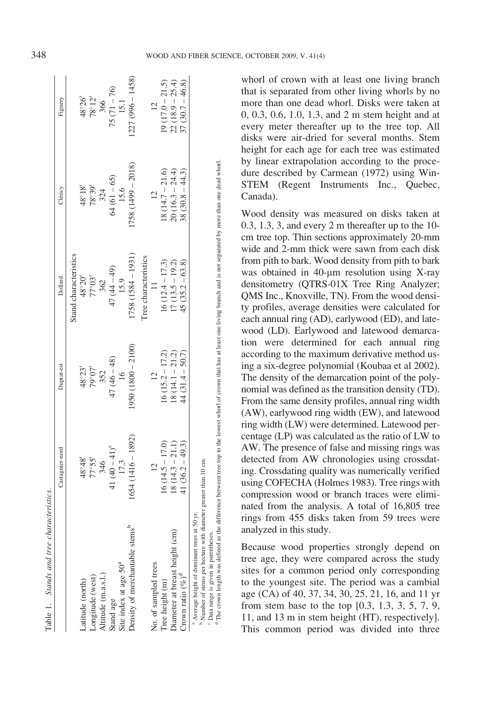| Table 1. Stands and tree characteristics.                                                                                             |                     |                         |                         |                        |                                |
|---------------------------------------------------------------------------------------------------------------------------------------|---------------------|-------------------------|-------------------------|------------------------|--------------------------------|
|                                                                                                                                       | Castagnier-nord     | Duprat-est              | Dollard                 | Cléricy                | Figuery                        |
|                                                                                                                                       |                     |                         | Stand characteristics   |                        |                                |
| Latitude (north)                                                                                                                      |                     |                         |                         |                        |                                |
| Longitude (west)                                                                                                                      | $^{77.59}$          | $\frac{48°23'}{79°07'}$ | $\frac{48°20'}{77°03'}$ | $\frac{66.82}{8.38}$   | $\frac{48°26'}{78°12'}$<br>366 |
| Altitude (m.a.s.l.)                                                                                                                   | 346                 | 352                     | 362                     | 324                    |                                |
| Stand age                                                                                                                             | 41 $(40 - 41)^c$    |                         |                         |                        |                                |
| Site index at age 50 <sup>a</sup>                                                                                                     | 17.3                | $47(46 - 48)$<br>16     | $47(44 - 49)$<br>15.9   | $64 (61 - 65)$<br>15.6 | $75(71 - 76)$<br>15.1          |
| Density of merchantable stems <sup>b</sup>                                                                                            | $1654(1416 - 1892)$ | $(950 (1800 - 2100))$   | $(158(1584 - 1931))$    | $758(1499 - 2018)$     | $(227 (996 - 1458))$           |
|                                                                                                                                       |                     |                         | ree characteristics     |                        |                                |
| No. of sampled trees                                                                                                                  | $\frac{12}{2}$      | 12                      | $\frac{1}{2}$           | $\frac{12}{2}$         | $\frac{12}{1}$                 |
| Tree height (m)                                                                                                                       | $16(14.5 - 17.0)$   | $16(15.2 - 17.2)$       | $16(12.4 - 17.3)$       | $18(14.7 - 21.6)$      | $19(17.0 - 21.5)$              |
| Diameter at breast height (cm)                                                                                                        | $18(14.3 - 21.1)$   | $18(14.1 - 21.2)$       | $17(13.5 - 19.2)$       | $20(16.3 - 24.4)$      | $22(18.9 - 25.4)$              |
| Crown ratio $(\%)^d$                                                                                                                  | $41(36.2 - 49.3)$   | $44(31.4-50.7)$         | $45(35.2 - 63.8)$       | $38(30.8 - 44.3)$      | $37(30.7-46.8)$                |
| <sup>b</sup> Number of stems per hectare with diameter greater than 10 cm.<br><sup>a</sup> Average height of dominant trees at 50 yr. |                     |                         |                         |                        |                                |

Data range is given in parentheses.<br>The crown length was defined as the difference between tree top to the lowest whorl of crown that has at least one living branch and is not separated by more than one dead whorl. The crown length was defined as the difference between tree top to the lowest whorl of crown that has at least one living branch and is not separated by more than one dead whorl. Data range is given in parentheses.

d

whorl of crown with at least one living branch that is separated from other living whorls by no more than one dead whorl. Disks were taken at 0, 0.3, 0.6, 1.0, 1.3, and 2 m stem height and at every meter thereafter up to the tree top. All disks were air-dried for several months. Stem height for each age for each tree was estimated by linear extrapolation according to the procedure described by Carmean (1972) using Win-STEM (Regent Instruments Inc., Quebec, Canada).

Wood density was measured on disks taken at 0.3, 1.3, 3, and every 2 m thereafter up to the 10 cm tree top. Thin sections approximately 20-mm wide and 2-mm thick were sawn from each disk from pith to bark. Wood density from pith to bark was obtained in 40-um resolution using X-ray densitometry (QTRS-01X Tree Ring Analyzer; QMS Inc., Knoxville, TN). From the wood density profiles, average densities were calculated for each annual ring (AD), earlywood (ED), and latewood (LD). Earlywood and latewood demarcation were determined for each annual ring according to the maximum derivative method using a six-degree polynomial (Koubaa et al 2002). The density of the demarcation point of the polynomial was defined as the transition density (TD). From the same density profiles, annual ring width (AW), earlywood ring width (EW), and latewood ring width (LW) were determined. Latewood percentage (LP) was calculated as the ratio of LW to AW. The presence of false and missing rings was detected from AW chronologies using crossdating. Crossdating quality was numerically verified using COFECHA (Holmes 1983). Tree rings with compression wood or branch traces were eliminated from the analysis. A total of 16,805 tree rings from 455 disks taken from 59 trees were analyzed in this study.

Because wood properties strongly depend on tree age, they were compared across the study sites for a common period only corresponding to the youngest site. The period was a cambial age (CA) of 40, 37, 34, 30, 25, 21, 16, and 11 yr from stem base to the top [0.3, 1.3, 3, 5, 7, 9, 11, and 13 m in stem height (HT), respectively]. This common period was divided into three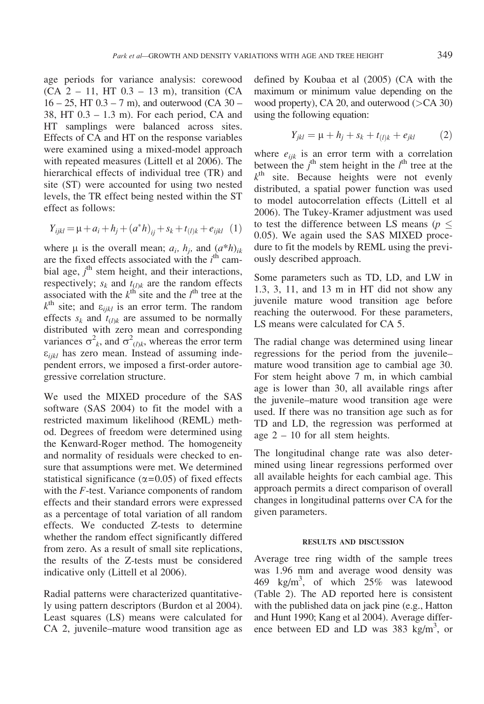age periods for variance analysis: corewood (CA  $2 - 11$ , HT  $0.3 - 13$  m), transition (CA  $16 - 25$ , HT  $0.3 - 7$  m), and outerwood (CA  $30 -$ 38, HT 0.3 – 1.3 m). For each period, CA and HT samplings were balanced across sites. Effects of CA and HT on the response variables were examined using a mixed-model approach with repeated measures (Littell et al 2006). The hierarchical effects of individual tree (TR) and site (ST) were accounted for using two nested levels, the TR effect being nested within the ST effect as follows:

$$
Y_{ijkl} = \mu + a_i + h_j + (a^*h)_{ij} + s_k + t_{(l)k} + e_{ijkl} \quad (1)
$$

where  $\mu$  is the overall mean;  $a_i$ ,  $h_j$ , and  $(a^*h)_{ik}$ are the fixed effects associated with the  $i<sup>th</sup>$  cambial age,  $j^{\text{th}}$  stem height, and their interactions, respectively;  $s_k$  and  $t_{(l)k}$  are the random effects associated with the  $k^{\text{th}}$  site and the  $l^{\text{th}}$  tree at the  $k^{\text{th}}$  site; and  $\varepsilon_{ijkl}$  is an error term. The random effects  $s_k$  and  $t_{l,k}$  are assumed to be normally distributed with zero mean and corresponding variances  $\sigma^2_k$ , and  $\sigma^2_{(l)k}$ , whereas the error term  $\varepsilon_{iikl}$  has zero mean. Instead of assuming independent errors, we imposed a first-order autoregressive correlation structure.

We used the MIXED procedure of the SAS software (SAS 2004) to fit the model with a restricted maximum likelihood (REML) method. Degrees of freedom were determined using the Kenward-Roger method. The homogeneity and normality of residuals were checked to ensure that assumptions were met. We determined statistical significance ( $\alpha$ =0.05) of fixed effects with the F-test. Variance components of random effects and their standard errors were expressed as a percentage of total variation of all random effects. We conducted Z-tests to determine whether the random effect significantly differed from zero. As a result of small site replications, the results of the Z-tests must be considered indicative only (Littell et al 2006).

Radial patterns were characterized quantitatively using pattern descriptors (Burdon et al 2004). Least squares (LS) means were calculated for CA 2, juvenile–mature wood transition age as defined by Koubaa et al (2005) (CA with the maximum or minimum value depending on the wood property), CA 20, and outerwood  $($ >CA 30) using the following equation:

$$
Y_{jkl} = \mu + h_j + s_k + t_{(l)k} + e_{jkl} \tag{2}
$$

where  $e_{ijk}$  is an error term with a correlation between the  $j^{\text{th}}$  stem height in the  $l^{\text{th}}$  tree at the  $k<sup>th</sup>$  site. Because heights were not evenly distributed, a spatial power function was used to model autocorrelation effects (Littell et al 2006). The Tukey-Kramer adjustment was used to test the difference between LS means ( $p \leq$ 0.05). We again used the SAS MIXED procedure to fit the models by REML using the previously described approach.

Some parameters such as TD, LD, and LW in 1.3, 3, 11, and 13 m in HT did not show any juvenile mature wood transition age before reaching the outerwood. For these parameters, LS means were calculated for CA 5.

The radial change was determined using linear regressions for the period from the juvenile– mature wood transition age to cambial age 30. For stem height above 7 m, in which cambial age is lower than 30, all available rings after the juvenile–mature wood transition age were used. If there was no transition age such as for TD and LD, the regression was performed at age 2 – 10 for all stem heights.

The longitudinal change rate was also determined using linear regressions performed over all available heights for each cambial age. This approach permits a direct comparison of overall changes in longitudinal patterns over CA for the given parameters.

### RESULTS AND DISCUSSION

Average tree ring width of the sample trees was 1.96 mm and average wood density was 469 kg/m<sup>3</sup>, of which  $25\%$  was latewood (Table 2). The AD reported here is consistent with the published data on jack pine (e.g., Hatton and Hunt 1990; Kang et al 2004). Average difference between ED and LD was 383 kg/m<sup>3</sup>, or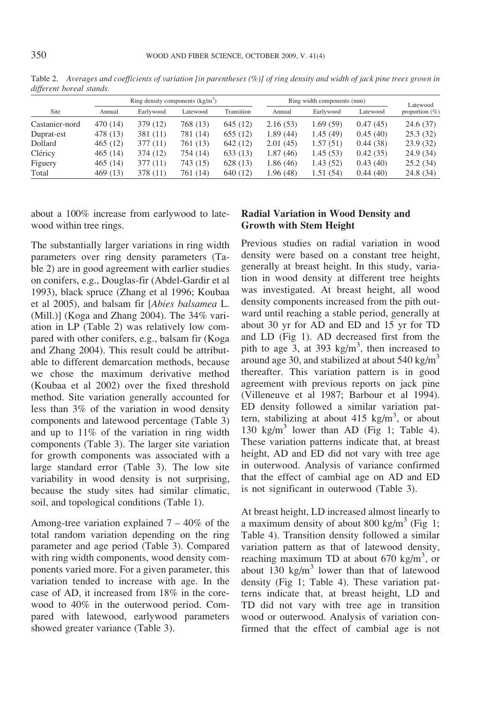|                |          | Ring density components $(kg/m3)$ |          |            |           | Ring width components (mm) |          |                               |  |
|----------------|----------|-----------------------------------|----------|------------|-----------|----------------------------|----------|-------------------------------|--|
| Site           | Annual   | Earlywood                         | Latewood | Transition | Annual    | Earlywood                  | Latewood | Latewood<br>proportion $(\%)$ |  |
| Castanier-nord | 470 (14) | 379 (12)                          | 768 (13) | 645 (12)   | 2.16(53)  | 1.69(59)                   | 0.47(45) | 24.6(37)                      |  |
| Duprat-est     | 478 (13) | 381 (11)                          | 781 (14) | 655 (12)   | 1.89(44)  | 1.45(49)                   | 0.45(40) | 25.3(32)                      |  |
| Dollard        | 465(12)  | 377 (11)                          | 761 (13) | 642 (12)   | 2.01(45)  | 1.57(51)                   | 0.44(38) | 23.9(32)                      |  |
| Cléricy        | 465(14)  | 374 (12)                          | 754 (14) | 633 (13)   | 1.87(46)  | 1.45(53)                   | 0.42(35) | 24.9(34)                      |  |
| Figuery        | 465(14)  | 377 (11)                          | 743 (15) | 628 (13)   | 1.86 (46) | 1.43(52)                   | 0.43(40) | 25.2(34)                      |  |
| Total          | 469 (13) | 378 (11)                          | 761 (14) | 640 (12)   | 1.96 (48) | 1.51(54)                   | 0.44(40) | 24.8(34)                      |  |

Table 2. Averages and coefficients of variation [in parentheses (%)] of ring density and width of jack pine trees grown in different boreal stands.

about a 100% increase from earlywood to latewood within tree rings.

The substantially larger variations in ring width parameters over ring density parameters (Table 2) are in good agreement with earlier studies on conifers, e.g., Douglas-fir (Abdel-Gardir et al 1993), black spruce (Zhang et al 1996; Koubaa et al 2005), and balsam fir [Abies balsamea L. (Mill.)] (Koga and Zhang 2004). The 34% variation in LP (Table 2) was relatively low compared with other conifers, e.g., balsam fir (Koga and Zhang 2004). This result could be attributable to different demarcation methods, because we chose the maximum derivative method (Koubaa et al 2002) over the fixed threshold method. Site variation generally accounted for less than 3% of the variation in wood density components and latewood percentage (Table 3) and up to 11% of the variation in ring width components (Table 3). The larger site variation for growth components was associated with a large standard error (Table 3). The low site variability in wood density is not surprising, because the study sites had similar climatic, soil, and topological conditions (Table 1).

Among-tree variation explained  $7 - 40\%$  of the total random variation depending on the ring parameter and age period (Table 3). Compared with ring width components, wood density components varied more. For a given parameter, this variation tended to increase with age. In the case of AD, it increased from 18% in the corewood to 40% in the outerwood period. Compared with latewood, earlywood parameters showed greater variance (Table 3).

## Radial Variation in Wood Density and Growth with Stem Height

Previous studies on radial variation in wood density were based on a constant tree height, generally at breast height. In this study, variation in wood density at different tree heights was investigated. At breast height, all wood density components increased from the pith outward until reaching a stable period, generally at about 30 yr for AD and ED and 15 yr for TD and LD (Fig 1). AD decreased first from the pith to age 3, at 393 kg/m<sup>3</sup>, then increased to around age 30, and stabilized at about  $540 \text{ kg/m}^3$ thereafter. This variation pattern is in good agreement with previous reports on jack pine (Villeneuve et al 1987; Barbour et al 1994). ED density followed a similar variation pattern, stabilizing at about  $415 \text{ kg/m}^3$ , or about 130 kg/m<sup>3</sup> lower than AD (Fig 1; Table 4). These variation patterns indicate that, at breast height, AD and ED did not vary with tree age in outerwood. Analysis of variance confirmed that the effect of cambial age on AD and ED is not significant in outerwood (Table 3).

At breast height, LD increased almost linearly to a maximum density of about 800 kg/m<sup>3</sup> (Fig 1; Table 4). Transition density followed a similar variation pattern as that of latewood density, reaching maximum TD at about  $670 \text{ kg/m}^3$ , or about  $130 \text{ kg/m}^3$  lower than that of latewood density (Fig 1; Table 4). These variation patterns indicate that, at breast height, LD and TD did not vary with tree age in transition wood or outerwood. Analysis of variation confirmed that the effect of cambial age is not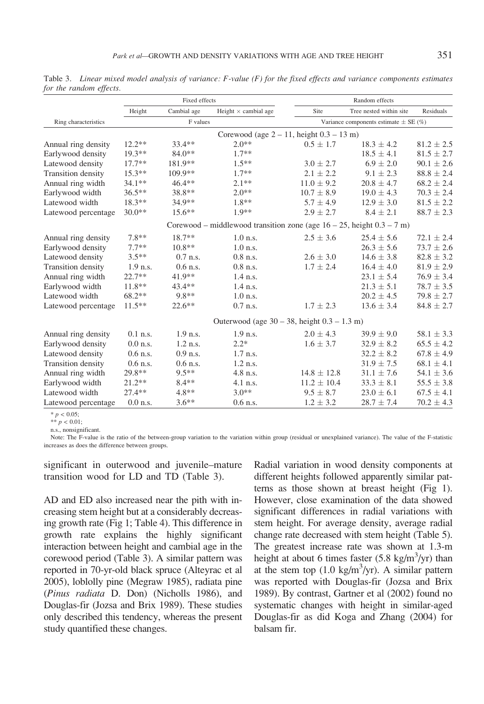|                      | Fixed effects |             |                                                                            |  | Random effects                            |                         |                  |  |
|----------------------|---------------|-------------|----------------------------------------------------------------------------|--|-------------------------------------------|-------------------------|------------------|--|
|                      | Height        | Cambial age | Height $\times$ cambial age                                                |  | Site                                      | Tree nested within site | <b>Residuals</b> |  |
| Ring characteristics | F values      |             |                                                                            |  | Variance components estimate $\pm$ SE (%) |                         |                  |  |
|                      |               |             | Corewood (age $2 - 11$ , height $0.3 - 13$ m)                              |  |                                           |                         |                  |  |
| Annual ring density  | $12.2**$      | 33.4**      | $2.0**$                                                                    |  | $0.5 \pm 1.7$                             | $18.3 \pm 4.2$          | $81.2 \pm 2.5$   |  |
| Earlywood density    | $19.3**$      | $84.0**$    | $1.7**$                                                                    |  |                                           | $18.5 \pm 4.1$          | $81.5 \pm 2.7$   |  |
| Latewood density     | $17.7**$      | 181.9**     | $1.5**$                                                                    |  | $3.0 \pm 2.7$                             | $6.9 \pm 2.0$           | $90.1 \pm 2.6$   |  |
| Transition density   | $15.3**$      | 109.9**     | $1.7**$                                                                    |  | $2.1 \pm 2.2$                             | $9.1 \pm 2.3$           | $88.8 \pm 2.4$   |  |
| Annual ring width    | $34.1**$      | $46.4**$    | $2.1**$                                                                    |  | $11.0 \pm 9.2$                            | $20.8 \pm 4.7$          | $68.2 \pm 2.4$   |  |
| Earlywood width      | $36.5**$      | 38.8**      | $2.0**$                                                                    |  | $10.7 \pm 8.9$                            | $19.0 \pm 4.3$          | $70.3 \pm 2.4$   |  |
| Latewood width       | $18.3**$      | 34.9**      | $1.8**$                                                                    |  | $5.7 \pm 4.9$                             | $12.9 \pm 3.0$          | $81.5 \pm 2.2$   |  |
| Latewood percentage  | $30.0**$      | $15.6**$    | $1.9**$                                                                    |  | $2.9 \pm 2.7$                             | $8.4 \pm 2.1$           | $88.7 \pm 2.3$   |  |
|                      |               |             | Corewood – middlewood transition zone (age $16 - 25$ , height $0.3 - 7$ m) |  |                                           |                         |                  |  |
| Annual ring density  | $7.8**$       | 18.7**      | $1.0$ n.s.                                                                 |  | $2.5 \pm 3.6$                             | $25.4 \pm 5.6$          | $72.1 + 2.4$     |  |
| Earlywood density    | $7.7**$       | $10.8**$    | $1.0$ n.s.                                                                 |  |                                           | $26.3 \pm 5.6$          | $73.7 \pm 2.6$   |  |
| Latewood density     | $3.5**$       | $0.7$ n.s.  | $0.8$ n.s.                                                                 |  | $2.6 \pm 3.0$                             | $14.6 \pm 3.8$          | $82.8 \pm 3.2$   |  |
| Transition density   | $1.9$ n.s.    | $0.6$ n.s.  | $0.8$ n.s.                                                                 |  | $1.7 \pm 2.4$                             | $16.4 \pm 4.0$          | $81.9 \pm 2.9$   |  |
| Annual ring width    | $22.7**$      | 41.9**      | $1.4$ n.s.                                                                 |  |                                           | $23.1 \pm 5.4$          | $76.9 \pm 3.4$   |  |
| Earlywood width      | $11.8**$      | $43.4**$    | $1.4$ n.s.                                                                 |  |                                           | $21.3 \pm 5.1$          | $78.7 \pm 3.5$   |  |
| Latewood width       | 68.2**        | 9.8**       | $1.0$ n.s.                                                                 |  |                                           | $20.2 \pm 4.5$          | $79.8 \pm 2.7$   |  |
| Latewood percentage  | $11.5**$      | $22.6**$    | $0.7$ n.s.                                                                 |  | $1.7 \pm 2.3$                             | $13.6 \pm 3.4$          | $84.8 \pm 2.7$   |  |
|                      |               |             | Outerwood (age $30 - 38$ , height $0.3 - 1.3$ m)                           |  |                                           |                         |                  |  |
| Annual ring density  | $0.1$ n.s.    | 1.9 n.s.    | $1.9$ n.s.                                                                 |  | $2.0 \pm 4.3$                             | $39.9 \pm 9.0$          | $58.1 \pm 3.3$   |  |
| Earlywood density    | $0.0$ n.s.    | $1.2$ n.s.  | $2.2*$                                                                     |  | $1.6 \pm 3.7$                             | $32.9 \pm 8.2$          | $65.5 \pm 4.2$   |  |
| Latewood density     | $0.6$ n.s.    | $0.9$ n.s.  | $1.7$ n.s.                                                                 |  |                                           | $32.2 \pm 8.2$          | $67.8 \pm 4.9$   |  |
| Transition density   | $0.6$ n.s.    | $0.6$ n.s.  | $1.2$ n.s.                                                                 |  |                                           | $31.9 \pm 7.5$          | $68.1 \pm 4.1$   |  |
| Annual ring width    | 29.8**        | $9.5**$     | 4.8 n.s.                                                                   |  | $14.8 \pm 12.8$                           | $31.1 \pm 7.6$          | $54.1 \pm 3.6$   |  |
| Earlywood width      | $21.2**$      | $8.4**$     | $4.1$ n.s.                                                                 |  | $11.2 \pm 10.4$                           | $33.3 \pm 8.1$          | $55.5 \pm 3.8$   |  |
| Latewood width       | $27.4**$      | $4.8**$     | $3.0**$                                                                    |  | $9.5 \pm 8.7$                             | $23.0 \pm 6.1$          | $67.5 \pm 4.1$   |  |
| Latewood percentage  | $0.0$ n.s.    | $3.6**$     | $0.6$ n.s.                                                                 |  | $1.2 \pm 3.2$                             | $28.7 \pm 7.4$          | $70.2 \pm 4.3$   |  |

Table 3. Linear mixed model analysis of variance:  $F$ -value  $(F)$  for the fixed effects and variance components estimates for the random effects.

 $* p < 0.05;$ 

\*\*  $p < 0.01$ ;

n.s., nonsignificant.

Note: The F-value is the ratio of the between-group variation to the variation within group (residual or unexplained variance). The value of the F-statistic increases as does the difference between groups.

significant in outerwood and juvenile–mature transition wood for LD and TD (Table 3).

AD and ED also increased near the pith with increasing stem height but at a considerably decreasing growth rate (Fig 1; Table 4). This difference in growth rate explains the highly significant interaction between height and cambial age in the corewood period (Table 3). A similar pattern was reported in 70-yr-old black spruce (Alteyrac et al 2005), loblolly pine (Megraw 1985), radiata pine (Pinus radiata D. Don) (Nicholls 1986), and Douglas-fir (Jozsa and Brix 1989). These studies only described this tendency, whereas the present study quantified these changes.

Radial variation in wood density components at different heights followed apparently similar patterns as those shown at breast height (Fig 1). However, close examination of the data showed significant differences in radial variations with stem height. For average density, average radial change rate decreased with stem height (Table 5). The greatest increase rate was shown at 1.3-m height at about 6 times faster  $(5.8 \text{ kg/m}^3/\text{yr})$  than at the stem top  $(1.0 \text{ kg/m}^3/\text{yr})$ . A similar pattern was reported with Douglas-fir (Jozsa and Brix 1989). By contrast, Gartner et al (2002) found no systematic changes with height in similar-aged Douglas-fir as did Koga and Zhang (2004) for balsam fir.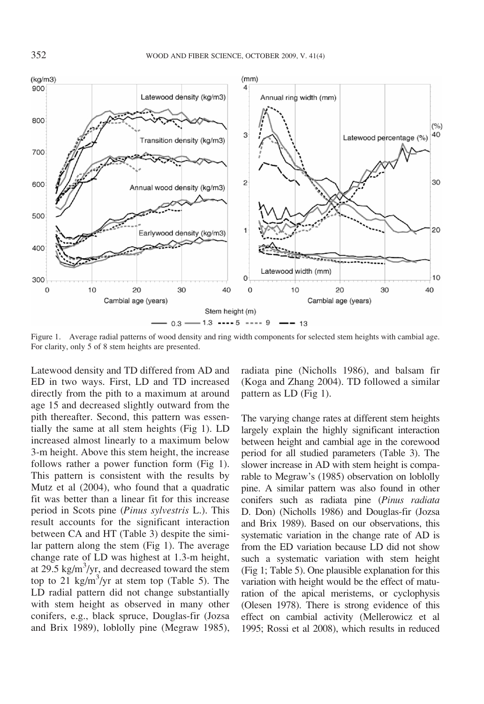

Figure 1. Average radial patterns of wood density and ring width components for selected stem heights with cambial age. For clarity, only 5 of 8 stem heights are presented.

Latewood density and TD differed from AD and ED in two ways. First, LD and TD increased directly from the pith to a maximum at around age 15 and decreased slightly outward from the pith thereafter. Second, this pattern was essentially the same at all stem heights (Fig 1). LD increased almost linearly to a maximum below 3-m height. Above this stem height, the increase follows rather a power function form (Fig 1). This pattern is consistent with the results by Mutz et al (2004), who found that a quadratic fit was better than a linear fit for this increase period in Scots pine (Pinus sylvestris L.). This result accounts for the significant interaction between CA and HT (Table 3) despite the similar pattern along the stem (Fig 1). The average change rate of LD was highest at 1.3-m height, at 29.5 kg/m<sup>3</sup>/yr, and decreased toward the stem top to 21 kg/m<sup>3</sup>/yr at stem top (Table 5). The LD radial pattern did not change substantially with stem height as observed in many other conifers, e.g., black spruce, Douglas-fir (Jozsa and Brix 1989), loblolly pine (Megraw 1985), radiata pine (Nicholls 1986), and balsam fir (Koga and Zhang 2004). TD followed a similar pattern as LD (Fig 1).

The varying change rates at different stem heights largely explain the highly significant interaction between height and cambial age in the corewood period for all studied parameters (Table 3). The slower increase in AD with stem height is comparable to Megraw's (1985) observation on loblolly pine. A similar pattern was also found in other conifers such as radiata pine (Pinus radiata D. Don) (Nicholls 1986) and Douglas-fir (Jozsa and Brix 1989). Based on our observations, this systematic variation in the change rate of AD is from the ED variation because LD did not show such a systematic variation with stem height (Fig 1; Table 5). One plausible explanation for this variation with height would be the effect of maturation of the apical meristems, or cyclophysis (Olesen 1978). There is strong evidence of this effect on cambial activity (Mellerowicz et al 1995; Rossi et al 2008), which results in reduced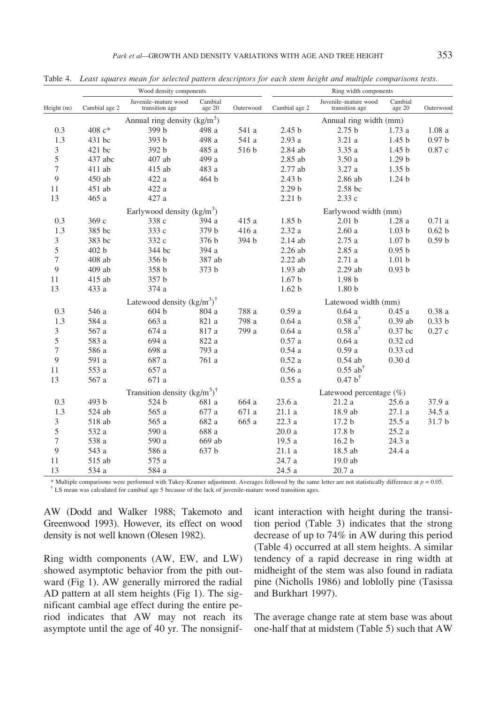|                  |               |                                            | Wood density components |           |                        | Ring width components                  |                   |                   |  |  |  |
|------------------|---------------|--------------------------------------------|-------------------------|-----------|------------------------|----------------------------------------|-------------------|-------------------|--|--|--|
| Height (m)       | Cambial age 2 | Juvenile-mature wood<br>transition age     | Cambial<br>age 20       | Outerwood | Cambial age 2          | Juvenile-mature wood<br>transition age | Cambial<br>age 20 | Outerwood         |  |  |  |
|                  |               | Annual ring density $(kg/m3)$              |                         |           | Annual ring width (mm) |                                        |                   |                   |  |  |  |
| 0.3              | 408 c*        | 399 b                                      | 498 a                   | 541 a     | 2.45 <sub>b</sub>      | 2.75 <sub>b</sub>                      | 1.73a             | 1.08a             |  |  |  |
| 1.3              | 431 bc        | 393 b                                      | 498 a                   | 541 a     | 2.93 a                 | 3.21 a                                 | 1.45 <sub>b</sub> | 0.97 <sub>b</sub> |  |  |  |
| 3                | $421$ bc      | 392 b                                      | 485 a                   | 516 b     | $2.84$ ab              | 3.35a                                  | 1.45 <sub>b</sub> | 0.87c             |  |  |  |
| 5                | 437 abc       | 407 ab                                     | 499 a                   |           | 2.85 ab                | 3.50a                                  | 1.29 <sub>b</sub> |                   |  |  |  |
| $\boldsymbol{7}$ | 411 ab        | 415 ab                                     | 483 a                   |           | 2.77 ab                | 3.27a                                  | 1.35 <sub>b</sub> |                   |  |  |  |
| 9                | 450 ab        | 422 a                                      | 464 b                   |           | 2.43 <sub>b</sub>      | 2.86 ab                                | 1.24 <sub>b</sub> |                   |  |  |  |
| 11               | 451 ab        | 422 a                                      |                         |           | 2.29 <sub>b</sub>      | 2.58 bc                                |                   |                   |  |  |  |
| 13               | 465 a         | 427 a                                      |                         |           | 2.21 <sub>b</sub>      | 2.33 с                                 |                   |                   |  |  |  |
|                  |               | Earlywood density $(kg/m3)$                |                         |           |                        | Earlywood width (mm)                   |                   |                   |  |  |  |
| 0.3              | 369 c         | 338 c                                      | 394 a                   | 415 a     | 1.85 <sub>b</sub>      | 2.01 <sub>b</sub>                      | 1.28a             | 0.71a             |  |  |  |
| 1.3              | 385 bc        | 333 c                                      | 379 b                   | 416 a     | 2.32a                  | 2.60a                                  | 1.03 <sub>b</sub> | 0.62 <sub>b</sub> |  |  |  |
| $\mathfrak{Z}$   | 383 bc        | 332 c                                      | 376 b                   | 394 b     | 2.14 ab                | 2.75a                                  | 1.07 <sub>b</sub> | 0.59 <sub>b</sub> |  |  |  |
| 5                | 402 b         | 344 bc                                     | 394 a                   |           | $2.26$ ab              | 2.85 a                                 | 0.95 <sub>b</sub> |                   |  |  |  |
| 7                | 408 ab        | 356 b                                      | 387 ab                  |           | $2.22$ ab              | 2.71a                                  | 1.01 <sub>b</sub> |                   |  |  |  |
| 9                | $409$ ab      | 358 b                                      | 373 b                   |           | 1.93 ab                | $2.29$ ab                              | 0.93 <sub>b</sub> |                   |  |  |  |
| 11               | 415 ab        | 357 b                                      |                         |           | 1.67 <sub>b</sub>      | 1.98 <sub>b</sub>                      |                   |                   |  |  |  |
| 13               | 433 a         | 374 a                                      |                         |           | 1.62 <sub>b</sub>      | 1.80 <sub>b</sub>                      |                   |                   |  |  |  |
|                  |               | Latewood density $(kg/m^3)$ <sup>†</sup>   |                         |           |                        | Latewood width (mm)                    |                   |                   |  |  |  |
| 0.3              | 546 a         | 604 b                                      | 804 a                   | 788 a     | 0.59a                  | 0.64a                                  | 0.45a             | 0.38a             |  |  |  |
| 1.3              | 584 a         | 663 a                                      | 821 a                   | 798 a     | 0.64a                  | $0.58a^{\dagger}$                      | $0.39$ ab         | 0.33 <sub>b</sub> |  |  |  |
| 3                | 567 a         | 674 a                                      | 817 a                   | 799 a     | 0.64a                  | $0.58a^{\dagger}$                      | $0.37$ bc         | 0.27c             |  |  |  |
| 5                | 583 a         | 694 a                                      | $822\ a$                |           | 0.57a                  | 0.64a                                  | 0.32 cd           |                   |  |  |  |
| 7                | 586 a         | 698 a                                      | 793 a                   |           | 0.54a                  | 0.59a                                  | 0.33 cd           |                   |  |  |  |
| 9                | 591 a         | 687 a                                      | $761\ a$                |           | 0.52a                  | $0.54$ ab                              | 0.30d             |                   |  |  |  |
| 11               | 553 a         | 657 a                                      |                         |           | 0.56a                  | $0.55$ ab <sup>†</sup>                 |                   |                   |  |  |  |
| 13               | 567 a         | 671 a                                      |                         |           | 0.55a                  | $0.47 b^{\dagger}$                     |                   |                   |  |  |  |
|                  |               | Transition density $(kg/m^3)$ <sup>†</sup> |                         |           |                        | Latewood percentage $(\%)$             |                   |                   |  |  |  |
| 0.3              | 493 b         | 524 b                                      | 681 a                   | 664 a     | 23.6 a                 | 21.2a                                  | 25.6 a            | 37.9 a            |  |  |  |
| 1.3              | 524 ab        | 565 a                                      | 677 a                   | 671 a     | 21.1 a                 | 18.9 ab                                | 27.1 a            | 34.5 a            |  |  |  |
| 3                | 518 ab        | 565 a                                      | 682 a                   | 665 a     | 22.3 a                 | 17.2 b                                 | 25.5a             | 31.7 b            |  |  |  |
| 5                | 532 a         | 590 a                                      | 688 a                   |           | 20.0a                  | 17.8 b                                 | 25.2a             |                   |  |  |  |
| $\boldsymbol{7}$ | 538 a         | 590 a                                      | 669 ab                  |           | 19.5 a                 | 16.2 <sub>b</sub>                      | 24.3 a            |                   |  |  |  |
| 9                | 543 a         | 586 a                                      | 637 b                   |           | 21.1 a                 | 18.5 ab                                | 24.4 a            |                   |  |  |  |
| 11               | 515 ab        | 575 a                                      |                         |           | 24.7 a                 | $19.0$ ab                              |                   |                   |  |  |  |
| 13               | 534 a         | 584 a                                      |                         |           | 24.5 a                 | 20.7 a                                 |                   |                   |  |  |  |

Table 4. Least squares mean for selected pattern descriptors for each stem height and multiple comparisons tests.

\* Multiple comparisons were performed with Tukey-Kramer adjustment. Averages followed by the same letter are not statistically difference at  $p = 0.05$ .  $\dagger$  LS mean was calculated for cambial age 5 because of the lack of juvenile-mature wood transition ages.

AW (Dodd and Walker 1988; Takemoto and Greenwood 1993). However, its effect on wood density is not well known (Olesen 1982).

Ring width components (AW, EW, and LW) showed asymptotic behavior from the pith outward (Fig 1). AW generally mirrored the radial AD pattern at all stem heights (Fig 1). The significant cambial age effect during the entire period indicates that AW may not reach its asymptote until the age of 40 yr. The nonsignif-

icant interaction with height during the transition period (Table 3) indicates that the strong decrease of up to 74% in AW during this period (Table 4) occurred at all stem heights. A similar tendency of a rapid decrease in ring width at midheight of the stem was also found in radiata pine (Nicholls 1986) and loblolly pine (Tasissa and Burkhart 1997).

The average change rate at stem base was about one-half that at midstem (Table 5) such that AW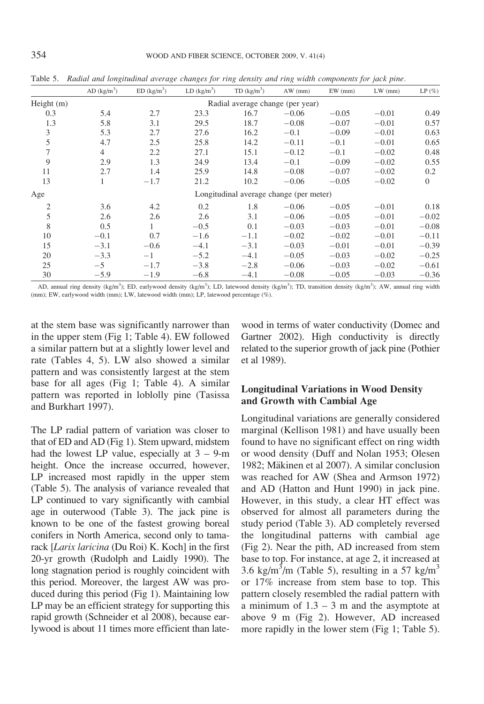|                | AD $\frac{\text{kg}}{\text{m}^3}$ | ED (kg/m <sup>3</sup> ) | LD (kg/m <sup>3</sup> ) | TD (kg/m <sup>3</sup> )                 | AW (mm) | $EW$ (mm) | $LW$ (mm) | $LP(\%)$     |
|----------------|-----------------------------------|-------------------------|-------------------------|-----------------------------------------|---------|-----------|-----------|--------------|
| Height $(m)$   |                                   |                         |                         | Radial average change (per year)        |         |           |           |              |
| 0.3            | 5.4                               | 2.7                     | 23.3                    | 16.7                                    | $-0.06$ | $-0.05$   | $-0.01$   | 0.49         |
| 1.3            | 5.8                               | 3.1                     | 29.5                    | 18.7                                    | $-0.08$ | $-0.07$   | $-0.01$   | 0.57         |
| 3              | 5.3                               | 2.7                     | 27.6                    | 16.2                                    | $-0.1$  | $-0.09$   | $-0.01$   | 0.63         |
| 5              | 4.7                               | 2.5                     | 25.8                    | 14.2                                    | $-0.11$ | $-0.1$    | $-0.01$   | 0.65         |
| 7              | $\overline{4}$                    | 2.2                     | 27.1                    | 15.1                                    | $-0.12$ | $-0.1$    | $-0.02$   | 0.48         |
| 9              | 2.9                               | 1.3                     | 24.9                    | 13.4                                    | $-0.1$  | $-0.09$   | $-0.02$   | 0.55         |
| 11             | 2.7                               | 1.4                     | 25.9                    | 14.8                                    | $-0.08$ | $-0.07$   | $-0.02$   | 0.2          |
| 13             | 1                                 | $-1.7$                  | 21.2                    | 10.2                                    | $-0.06$ | $-0.05$   | $-0.02$   | $\mathbf{0}$ |
| Age            |                                   |                         |                         | Longitudinal average change (per meter) |         |           |           |              |
| $\overline{2}$ | 3.6                               | 4.2                     | 0.2                     | 1.8                                     | $-0.06$ | $-0.05$   | $-0.01$   | 0.18         |
| 5              | 2.6                               | 2.6                     | 2.6                     | 3.1                                     | $-0.06$ | $-0.05$   | $-0.01$   | $-0.02$      |
| 8              | 0.5                               | $\mathbf{1}$            | $-0.5$                  | 0.1                                     | $-0.03$ | $-0.03$   | $-0.01$   | $-0.08$      |
| 10             | $-0.1$                            | 0.7                     | $-1.6$                  | $-1.1$                                  | $-0.02$ | $-0.02$   | $-0.01$   | $-0.11$      |
| 15             | $-3.1$                            | $-0.6$                  | $-4.1$                  | $-3.1$                                  | $-0.03$ | $-0.01$   | $-0.01$   | $-0.39$      |
| 20             | $-3.3$                            | $-1$                    | $-5.2$                  | $-4.1$                                  | $-0.05$ | $-0.03$   | $-0.02$   | $-0.25$      |
| 25             | $-5$                              | $-1.7$                  | $-3.8$                  | $-2.8$                                  | $-0.06$ | $-0.03$   | $-0.02$   | $-0.61$      |
| 30             | $-5.9$                            | $-1.9$                  | $-6.8$                  | $-4.1$                                  | $-0.08$ | $-0.05$   | $-0.03$   | $-0.36$      |

Table 5. Radial and longitudinal average changes for ring density and ring width components for jack pine.

AD, annual ring density (kg/m<sup>3</sup>); ED, earlywood density (kg/m<sup>3</sup>); LD, latewood density (kg/m<sup>3</sup>); TD, transition density (kg/m<sup>3</sup>); AW, annual ring width (mm); EW, earlywood width (mm); LW, latewood width (mm); LP, latewood percentage (%).

at the stem base was significantly narrower than in the upper stem (Fig 1; Table 4). EW followed a similar pattern but at a slightly lower level and rate (Tables 4, 5). LW also showed a similar pattern and was consistently largest at the stem base for all ages (Fig 1; Table 4). A similar pattern was reported in loblolly pine (Tasissa and Burkhart 1997).

The LP radial pattern of variation was closer to that of ED and AD (Fig 1). Stem upward, midstem had the lowest LP value, especially at  $3 - 9$ -m height. Once the increase occurred, however, LP increased most rapidly in the upper stem (Table 5). The analysis of variance revealed that LP continued to vary significantly with cambial age in outerwood (Table 3). The jack pine is known to be one of the fastest growing boreal conifers in North America, second only to tamarack [Larix laricina (Du Roi) K. Koch] in the first 20-yr growth (Rudolph and Laidly 1990). The long stagnation period is roughly coincident with this period. Moreover, the largest AW was produced during this period (Fig 1). Maintaining low LP may be an efficient strategy for supporting this rapid growth (Schneider et al 2008), because earlywood is about 11 times more efficient than latewood in terms of water conductivity (Domec and Gartner 2002). High conductivity is directly related to the superior growth of jack pine (Pothier et al 1989).

## Longitudinal Variations in Wood Density and Growth with Cambial Age

Longitudinal variations are generally considered marginal (Kellison 1981) and have usually been found to have no significant effect on ring width or wood density (Duff and Nolan 1953; Olesen 1982; Mäkinen et al 2007). A similar conclusion was reached for AW (Shea and Armson 1972) and AD (Hatton and Hunt 1990) in jack pine. However, in this study, a clear HT effect was observed for almost all parameters during the study period (Table 3). AD completely reversed the longitudinal patterns with cambial age (Fig 2). Near the pith, AD increased from stem base to top. For instance, at age 2, it increased at 3.6 kg/m<sup>3</sup>/m (Table 5), resulting in a 57 kg/m<sup>3</sup> or 17% increase from stem base to top. This pattern closely resembled the radial pattern with a minimum of  $1.3 - 3$  m and the asymptote at above 9 m (Fig 2). However, AD increased more rapidly in the lower stem (Fig 1; Table 5).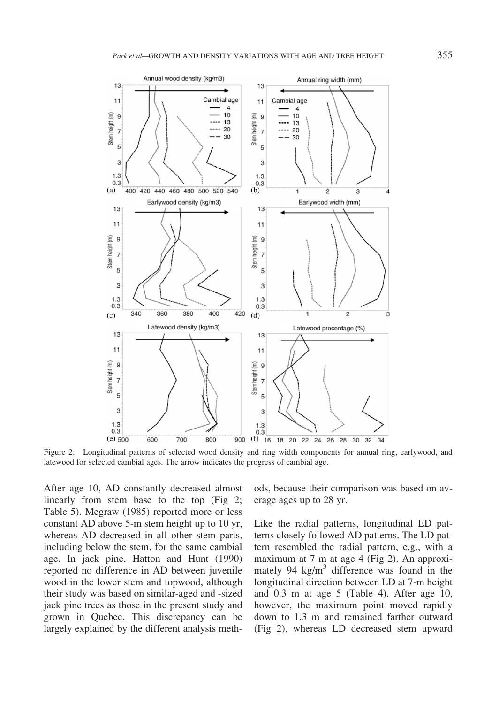

Figure 2. Longitudinal patterns of selected wood density and ring width components for annual ring, earlywood, and latewood for selected cambial ages. The arrow indicates the progress of cambial age.

After age 10, AD constantly decreased almost linearly from stem base to the top (Fig 2; Table 5). Megraw (1985) reported more or less constant AD above 5-m stem height up to 10 yr, whereas AD decreased in all other stem parts, including below the stem, for the same cambial age. In jack pine, Hatton and Hunt (1990) reported no difference in AD between juvenile wood in the lower stem and topwood, although their study was based on similar-aged and -sized jack pine trees as those in the present study and grown in Quebec. This discrepancy can be largely explained by the different analysis methods, because their comparison was based on average ages up to 28 yr.

Like the radial patterns, longitudinal ED patterns closely followed AD patterns. The LD pattern resembled the radial pattern, e.g., with a maximum at 7 m at age 4 (Fig 2). An approximately 94  $\text{kg/m}^3$  difference was found in the longitudinal direction between LD at 7-m height and 0.3 m at age 5 (Table 4). After age 10, however, the maximum point moved rapidly down to 1.3 m and remained farther outward (Fig 2), whereas LD decreased stem upward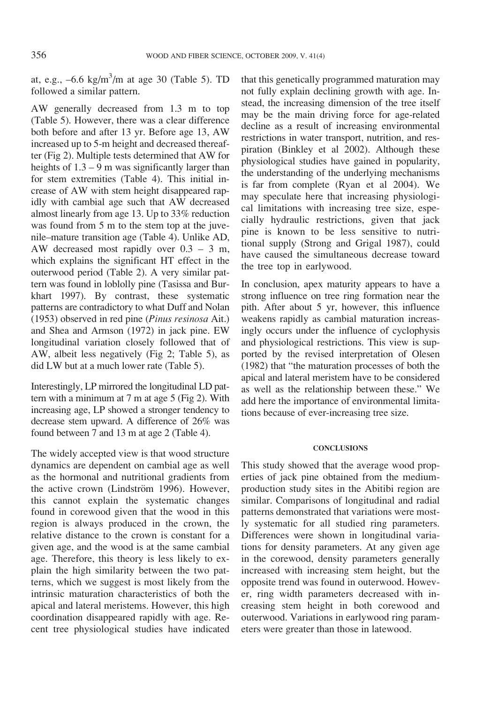at, e.g.,  $-6.6 \text{ kg/m}^3/\text{m}$  at age 30 (Table 5). TD followed a similar pattern.

AW generally decreased from 1.3 m to top (Table 5). However, there was a clear difference both before and after 13 yr. Before age 13, AW increased up to 5-m height and decreased thereafter (Fig 2). Multiple tests determined that AW for heights of  $1.3 - 9$  m was significantly larger than for stem extremities (Table 4). This initial increase of AW with stem height disappeared rapidly with cambial age such that AW decreased almost linearly from age 13. Up to 33% reduction was found from 5 m to the stem top at the juvenile–mature transition age (Table 4). Unlike AD, AW decreased most rapidly over 0.3 – 3 m, which explains the significant HT effect in the outerwood period (Table 2). A very similar pattern was found in loblolly pine (Tasissa and Burkhart 1997). By contrast, these systematic patterns are contradictory to what Duff and Nolan (1953) observed in red pine (Pinus resinosa Ait.) and Shea and Armson (1972) in jack pine. EW longitudinal variation closely followed that of AW, albeit less negatively (Fig 2; Table 5), as did LW but at a much lower rate (Table 5).

Interestingly, LP mirrored the longitudinal LD pattern with a minimum at 7 m at age 5 (Fig 2). With increasing age, LP showed a stronger tendency to decrease stem upward. A difference of 26% was found between 7 and 13 m at age 2 (Table 4).

The widely accepted view is that wood structure dynamics are dependent on cambial age as well as the hormonal and nutritional gradients from the active crown (Lindström 1996). However, this cannot explain the systematic changes found in corewood given that the wood in this region is always produced in the crown, the relative distance to the crown is constant for a given age, and the wood is at the same cambial age. Therefore, this theory is less likely to explain the high similarity between the two patterns, which we suggest is most likely from the intrinsic maturation characteristics of both the apical and lateral meristems. However, this high coordination disappeared rapidly with age. Recent tree physiological studies have indicated

that this genetically programmed maturation may not fully explain declining growth with age. Instead, the increasing dimension of the tree itself may be the main driving force for age-related decline as a result of increasing environmental restrictions in water transport, nutrition, and respiration (Binkley et al 2002). Although these physiological studies have gained in popularity, the understanding of the underlying mechanisms is far from complete (Ryan et al 2004). We may speculate here that increasing physiological limitations with increasing tree size, especially hydraulic restrictions, given that jack pine is known to be less sensitive to nutritional supply (Strong and Grigal 1987), could have caused the simultaneous decrease toward the tree top in earlywood.

In conclusion, apex maturity appears to have a strong influence on tree ring formation near the pith. After about 5 yr, however, this influence weakens rapidly as cambial maturation increasingly occurs under the influence of cyclophysis and physiological restrictions. This view is supported by the revised interpretation of Olesen (1982) that "the maturation processes of both the apical and lateral meristem have to be considered as well as the relationship between these." We add here the importance of environmental limitations because of ever-increasing tree size.

### **CONCLUSIONS**

This study showed that the average wood properties of jack pine obtained from the mediumproduction study sites in the Abitibi region are similar. Comparisons of longitudinal and radial patterns demonstrated that variations were mostly systematic for all studied ring parameters. Differences were shown in longitudinal variations for density parameters. At any given age in the corewood, density parameters generally increased with increasing stem height, but the opposite trend was found in outerwood. However, ring width parameters decreased with increasing stem height in both corewood and outerwood. Variations in earlywood ring parameters were greater than those in latewood.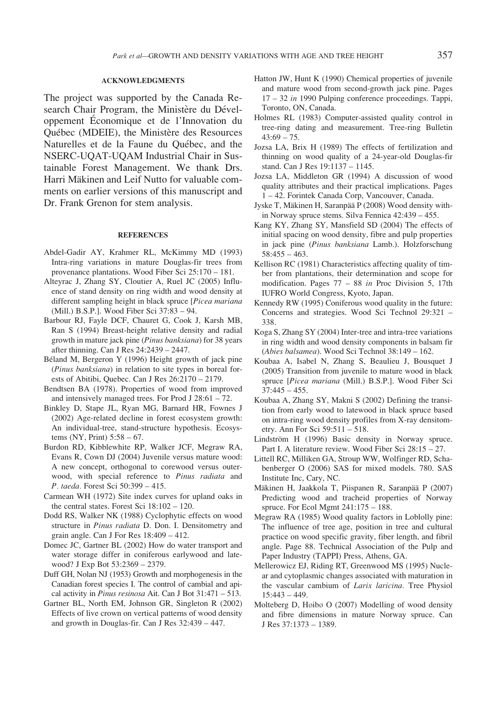### ACKNOWLEDGMENTS

The project was supported by the Canada Research Chair Program, the Ministère du Développement Economique et de l'Innovation du Québec (MDEIE), the Ministère des Resources Naturelles et de la Faune du Québec, and the NSERC-UQAT-UQAM Industrial Chair in Sustainable Forest Management. We thank Drs. Harri Mäkinen and Leif Nutto for valuable comments on earlier versions of this manuscript and Dr. Frank Grenon for stem analysis.

#### **REFERENCES**

- Abdel-Gadir AY, Krahmer RL, McKimmy MD (1993) Intra-ring variations in mature Douglas-fir trees from provenance plantations. Wood Fiber Sci 25:170 – 181.
- Alteyrac J, Zhang SY, Cloutier A, Ruel JC (2005) Influence of stand density on ring width and wood density at different sampling height in black spruce [Picea mariana (Mill.) B.S.P.]. Wood Fiber Sci 37:83 – 94.
- Barbour RJ, Fayle DCF, Chauret G, Cook J, Karsh MB, Ran S (1994) Breast-height relative density and radial growth in mature jack pine (Pinus banksiana) for 38 years after thinning. Can J Res 24:2439 – 2447.
- Béland M, Bergeron Y (1996) Height growth of jack pine (Pinus banksiana) in relation to site types in boreal forests of Abitibi, Quebec. Can J Res 26:2170 – 2179.
- Bendtsen BA (1978). Properties of wood from improved and intensively managed trees. For Prod J 28:61 – 72.
- Binkley D, Stape JL, Ryan MG, Barnard HR, Fownes J (2002) Age-related decline in forest ecosystem growth: An individual-tree, stand-structure hypothesis. Ecosystems (NY, Print) 5:58 – 67.
- Burdon RD, Kibblewhite RP, Walker JCF, Megraw RA, Evans R, Cown DJ (2004) Juvenile versus mature wood: A new concept, orthogonal to corewood versus outerwood, with special reference to Pinus radiata and P. taeda. Forest Sci 50:399 – 415.
- Carmean WH (1972) Site index curves for upland oaks in the central states. Forest Sci 18:102 – 120.
- Dodd RS, Walker NK (1988) Cyclophytic effects on wood structure in Pinus radiata D. Don. I. Densitometry and grain angle. Can J For Res 18:409 – 412.
- Domec JC, Gartner BL (2002) How do water transport and water storage differ in coniferous earlywood and latewood? J Exp Bot 53:2369 – 2379.
- Duff GH, Nolan NJ (1953) Growth and morphogenesis in the Canadian forest species I. The control of cambial and apical activity in Pinus resinosa Ait. Can J Bot 31:471 – 513.
- Gartner BL, North EM, Johnson GR, Singleton R (2002) Effects of live crown on vertical patterns of wood density and growth in Douglas-fir. Can J Res 32:439 – 447.
- Hatton JW, Hunt K (1990) Chemical properties of juvenile and mature wood from second-growth jack pine. Pages 17 – 32 in 1990 Pulping conference proceedings. Tappi, Toronto, ON, Canada.
- Holmes RL (1983) Computer-assisted quality control in tree-ring dating and measurement. Tree-ring Bulletin  $43:69 - 75.$
- Jozsa LA, Brix H (1989) The effects of fertilization and thinning on wood quality of a 24-year-old Douglas-fir stand. Can J Res 19:1137 – 1145.
- Jozsa LA, Middleton GR (1994) A discussion of wood quality attributes and their practical implications. Pages 1 – 42. Forintek Canada Corp, Vancouver, Canada.
- Jyske T, Mäkinen H, Saranpää P (2008) Wood density within Norway spruce stems. Silva Fennica 42:439 – 455.
- Kang KY, Zhang SY, Mansfield SD (2004) The effects of initial spacing on wood density, fibre and pulp properties in jack pine (Pinus banksiana Lamb.). Holzforschung 58:455 – 463.
- Kellison RC (1981) Characteristics affecting quality of timber from plantations, their determination and scope for modification. Pages 77 – 88 in Proc Division 5, 17th IUFRO World Congress, Kyoto, Japan.
- Kennedy RW (1995) Coniferous wood quality in the future: Concerns and strategies. Wood Sci Technol 29:321 – 338.
- Koga S, Zhang SY (2004) Inter-tree and intra-tree variations in ring width and wood density components in balsam fir (Abies balsamea). Wood Sci Technol 38:149 – 162.
- Koubaa A, Isabel N, Zhang S, Beaulieu J, Bousquet J (2005) Transition from juvenile to mature wood in black spruce [Picea mariana (Mill.) B.S.P.]. Wood Fiber Sci  $37:445 - 455$ .
- Koubaa A, Zhang SY, Makni S (2002) Defining the transition from early wood to latewood in black spruce based on intra-ring wood density profiles from X-ray densitometry. Ann For Sci 59:511 – 518.
- Lindström H (1996) Basic density in Norway spruce. Part I. A literature review. Wood Fiber Sci 28:15 – 27.
- Littell RC, Milliken GA, Stroup WW, Wolfinger RD, Schabenberger O (2006) SAS for mixed models. 780. SAS Institute Inc, Cary, NC.
- Mäkinen H, Jaakkola T, Piispanen R, Saranpää P (2007) Predicting wood and tracheid properties of Norway spruce. For Ecol Mgmt 241:175 – 188.
- Megraw RA (1985) Wood quality factors in Loblolly pine: The influence of tree age, position in tree and cultural practice on wood specific gravity, fiber length, and fibril angle. Page 88. Technical Association of the Pulp and Paper Industry (TAPPI) Press, Athens, GA.
- Mellerowicz EJ, Riding RT, Greenwood MS (1995) Nuclear and cytoplasmic changes associated with maturation in the vascular cambium of Larix laricina. Tree Physiol 15:443 – 449.
- Molteberg D, Høibø O (2007) Modelling of wood density and fibre dimensions in mature Norway spruce. Can J Res 37:1373 – 1389.